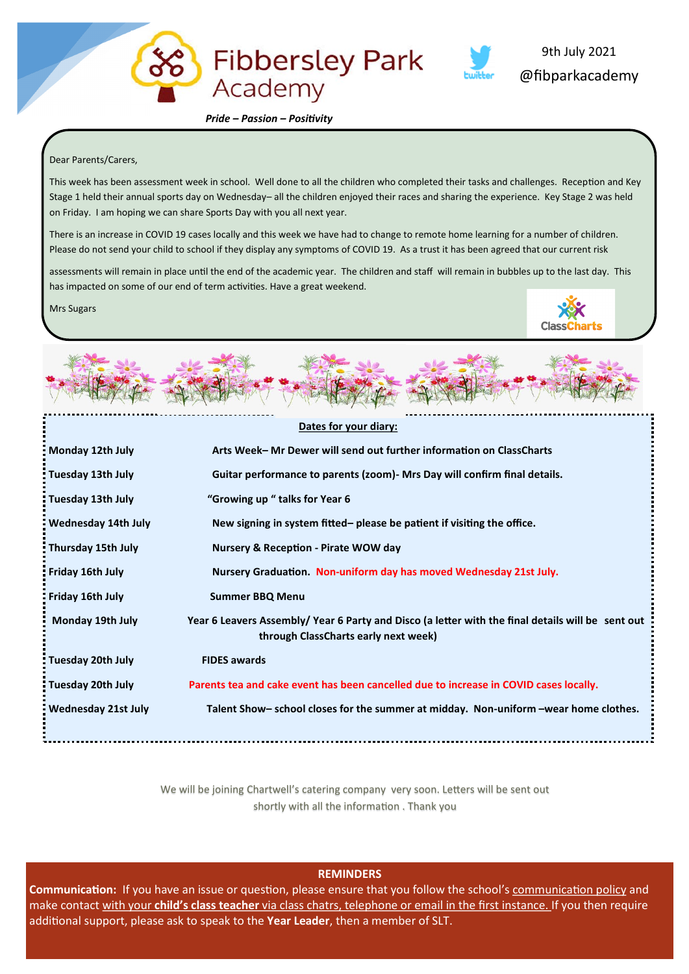

 *Pride – Passion – Positivity*

#### Dear Parents/Carers,

This week has been assessment week in school. Well done to all the children who completed their tasks and challenges. Reception and Key Stage 1 held their annual sports day on Wednesday– all the children enjoyed their races and sharing the experience. Key Stage 2 was held on Friday. I am hoping we can share Sports Day with you all next year.

There is an increase in COVID 19 cases locally and this week we have had to change to remote home learning for a number of children. Please do not send your child to school if they display any symptoms of COVID 19. As a trust it has been agreed that our current risk

assessments will remain in place until the end of the academic year. The children and staff will remain in bubbles up to the last day. This has impacted on some of our end of term activities. Have a great weekend.

Mrs Sugars



@fibparkacademy

9th July 2021



|                                                                                                   | Dates for your diary:                                                                                                                     |  |  |  |  |  |
|---------------------------------------------------------------------------------------------------|-------------------------------------------------------------------------------------------------------------------------------------------|--|--|--|--|--|
| Monday 12th July                                                                                  | Arts Week- Mr Dewer will send out further information on ClassCharts                                                                      |  |  |  |  |  |
| : Tuesday 13th July<br>Guitar performance to parents (zoom) - Mrs Day will confirm final details. |                                                                                                                                           |  |  |  |  |  |
| : Tuesday 13th July                                                                               | "Growing up " talks for Year 6                                                                                                            |  |  |  |  |  |
| Wednesday 14th July                                                                               | New signing in system fitted– please be patient if visiting the office.                                                                   |  |  |  |  |  |
| Thursday 15th July                                                                                | <b>Nursery &amp; Reception - Pirate WOW day</b>                                                                                           |  |  |  |  |  |
| Friday 16th July                                                                                  | Nursery Graduation. Non-uniform day has moved Wednesday 21st July.                                                                        |  |  |  |  |  |
| Friday 16th July                                                                                  | <b>Summer BBQ Menu</b>                                                                                                                    |  |  |  |  |  |
| Monday 19th July                                                                                  | Year 6 Leavers Assembly/ Year 6 Party and Disco (a letter with the final details will be sent out<br>through ClassCharts early next week) |  |  |  |  |  |
| : Tuesday 20th July                                                                               | <b>FIDES awards</b>                                                                                                                       |  |  |  |  |  |
| : Tuesday 20th July                                                                               | Parents tea and cake event has been cancelled due to increase in COVID cases locally.                                                     |  |  |  |  |  |
| Wednesday 21st July                                                                               | Talent Show- school closes for the summer at midday. Non-uniform -wear home clothes.                                                      |  |  |  |  |  |

We will be joining Chartwell's catering company very soon. Letters will be sent out shortly with all the information . Thank you

**REMINDERS**

**Communication:** If you have an issue or question, please ensure that you follow the school's communication policy and make contact with your **child's class teacher** via class chatrs, telephone or email in the first instance. If you then require additional support, please ask to speak to the **Year Leader**, then a member of SLT.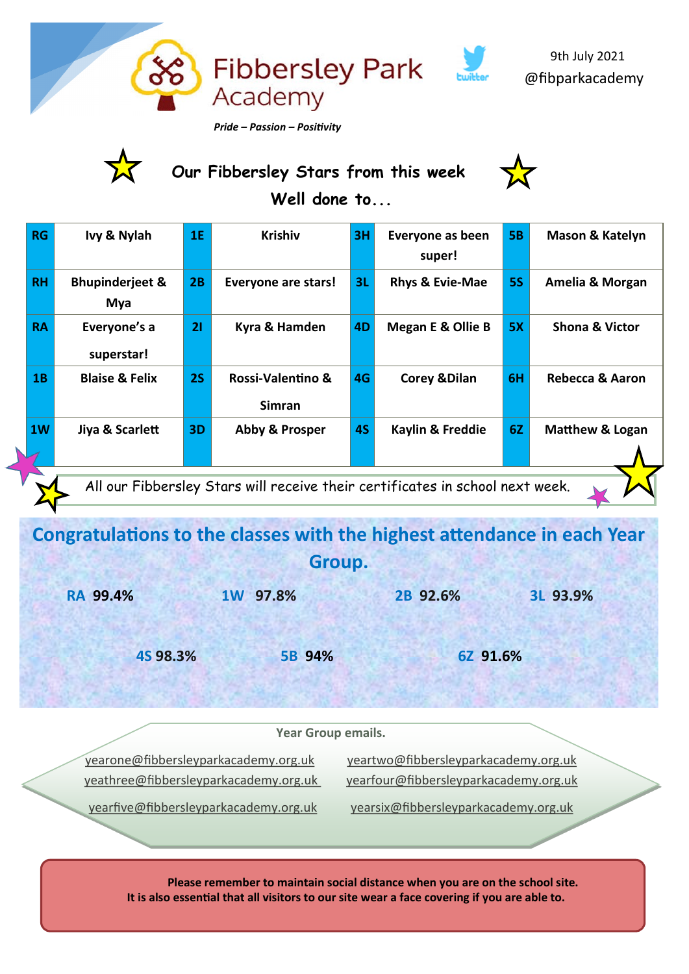

## **Our Fibbersley Stars from this week**



 **Well done to...**

| <b>RG</b>                                                                     | Ivy & Nylah                       | 1E | <b>Krishiv</b>                     | 3H | Everyone as been<br>super!   | <b>5B</b> | <b>Mason &amp; Katelyn</b> |  |  |
|-------------------------------------------------------------------------------|-----------------------------------|----|------------------------------------|----|------------------------------|-----------|----------------------------|--|--|
| <b>RH</b>                                                                     | <b>Bhupinderjeet &amp;</b><br>Mya | 2B | <b>Everyone are stars!</b>         | 3L | Rhys & Evie-Mae              | <b>5S</b> | Amelia & Morgan            |  |  |
| <b>RA</b>                                                                     | Everyone's a<br>superstar!        | 21 | Kyra & Hamden                      | 4D | <b>Megan E &amp; Ollie B</b> | 5X        | <b>Shona &amp; Victor</b>  |  |  |
| 1B                                                                            | <b>Blaise &amp; Felix</b>         | 2S | Rossi-Valentino &<br><b>Simran</b> | 4G | <b>Corey &amp; Dilan</b>     | 6H        | Rebecca & Aaron            |  |  |
| 1W                                                                            | Jiya & Scarlett                   | 3D | Abby & Prosper                     | 4S | Kaylin & Freddie             | 6Z        | Matthew & Logan            |  |  |
| All our Fibbersley Stars will receive their certificates in school next week. |                                   |    |                                    |    |                              |           |                            |  |  |

# **Congratulations to the classes with the highest attendance in each Year Group.**

 **RA 99.4% 1W 97.8% 2B 92.6% 3L 93.9%**

 **4S 98.3% 5B 94% 6Z 91.6%**

### **Year Group emails.**

[yearone@fibbersleyparkacademy.org.uk](mailto:yearone@fibbersleyparkacademy.org.uk) [yeartwo@fibbersleyparkacademy.org.uk](mailto:yeartwo@fibbersleyparkacademy.org.uk)

[yeathree@fibbersleyparkacademy.org.uk](mailto:yearthree@fibbersleyparkacademy.org.uk%20) [yearfour@fibbersleyparkacademy.org.uk](mailto:yearfour@fibbersleyparkacademy.org.uk) [yearfive@fibbersleyparkacademy.org.uk](mailto:yearfive@fibbersleyparkacademy.org.uk) [yearsix@fibbersleyparkacademy.org.uk](mailto:yearsix@fibbersleyparkacademy.org.uk)

 **Please remember to maintain social distance when you are on the school site. It is also essential that all visitors to our site wear a face covering if you are able to.**